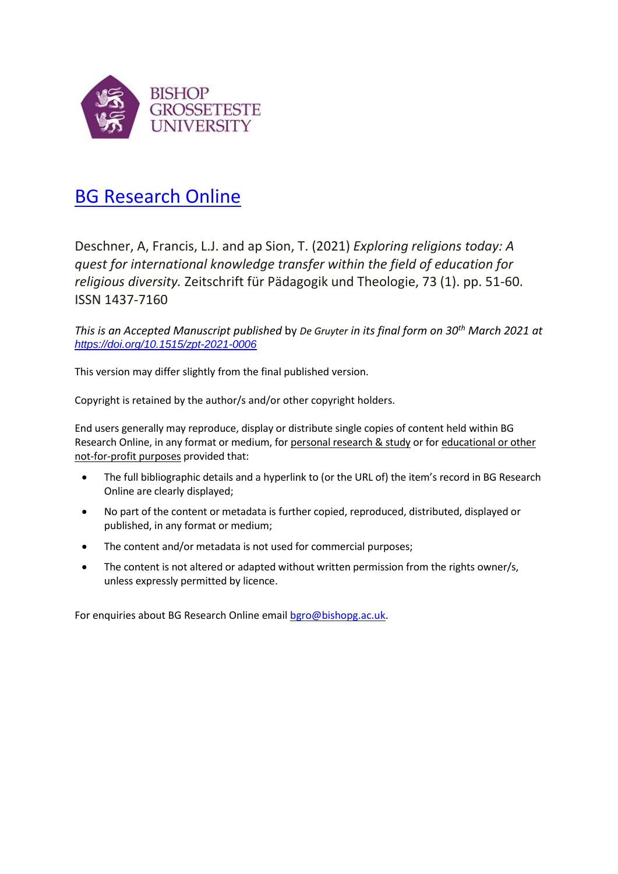

# [BG Research Online](https://bgro.collections.crest.ac.uk/)

Deschner, A, Francis, L.J. and ap Sion, T. (2021) *Exploring religions today: A quest for international knowledge transfer within the field of education for religious diversity.* Zeitschrift für Pädagogik und Theologie, 73 (1). pp. 51-60. ISSN 1437-7160

*This is an Accepted Manuscript published* by *De Gruyter in its final form on 30th March 2021 at <https://doi.org/10.1515/zpt-2021-0006>*

This version may differ slightly from the final published version.

Copyright is retained by the author/s and/or other copyright holders.

End users generally may reproduce, display or distribute single copies of content held within BG Research Online, in any format or medium, for personal research & study or for educational or other not-for-profit purposes provided that:

- The full bibliographic details and a hyperlink to (or the URL of) the item's record in BG Research Online are clearly displayed;
- No part of the content or metadata is further copied, reproduced, distributed, displayed or published, in any format or medium;
- The content and/or metadata is not used for commercial purposes;
- The content is not altered or adapted without written permission from the rights owner/s, unless expressly permitted by licence.

For enquiries about BG Research Online emai[l bgro@bishopg.ac.uk.](mailto:bgro@bishopg.ac.uk)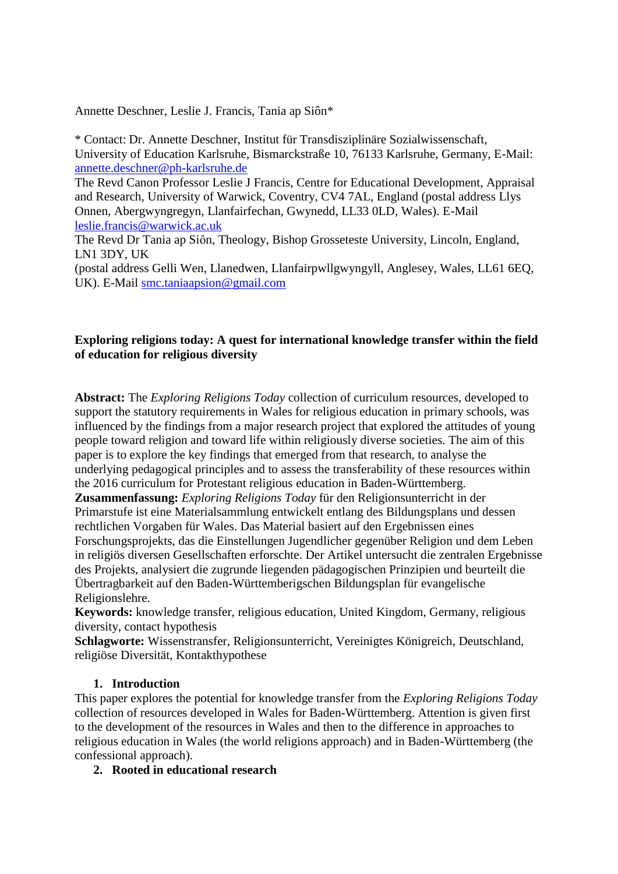Annette Deschner, Leslie J. Francis, Tania ap Siôn\*

\* Contact: Dr. Annette Deschner, Institut für Transdisziplinäre Sozialwissenschaft, University of Education Karlsruhe, Bismarckstraße 10, 76133 Karlsruhe, Germany, E-Mail: [annette.deschner@ph-karlsruhe.de](mailto:annette.deschner@ph-karlsruhe.de)

The Revd Canon Professor Leslie J Francis, Centre for Educational Development, Appraisal and Research, University of Warwick, Coventry, CV4 7AL, England (postal address Llys Onnen, Abergwyngregyn, Llanfairfechan, Gwynedd, LL33 0LD, Wales). E-Mail [leslie.francis@warwick.ac.uk](mailto:leslie.francis@warwick.ac.uk)

The Revd Dr Tania ap Siôn, Theology, Bishop Grosseteste University, Lincoln, England, LN1 3DY, UK

(postal address Gelli Wen, Llanedwen, Llanfairpwllgwyngyll, Anglesey, Wales, LL61 6EQ, UK). E-Mail [smc.taniaapsion@gmail.com](mailto:smc.taniaapsion@gmail.com)

## **Exploring religions today: A quest for international knowledge transfer within the field of education for religious diversity**

**Abstract:** The *Exploring Religions Today* collection of curriculum resources, developed to support the statutory requirements in Wales for religious education in primary schools, was influenced by the findings from a major research project that explored the attitudes of young people toward religion and toward life within religiously diverse societies. The aim of this paper is to explore the key findings that emerged from that research, to analyse the underlying pedagogical principles and to assess the transferability of these resources within the 2016 curriculum for Protestant religious education in Baden-Württemberg.

**Zusammenfassung:** *Exploring Religions Today* für den Religionsunterricht in der Primarstufe ist eine Materialsammlung entwickelt entlang des Bildungsplans und dessen rechtlichen Vorgaben für Wales. Das Material basiert auf den Ergebnissen eines Forschungsprojekts, das die Einstellungen Jugendlicher gegenüber Religion und dem Leben in religiös diversen Gesellschaften erforschte. Der Artikel untersucht die zentralen Ergebnisse des Projekts, analysiert die zugrunde liegenden pädagogischen Prinzipien und beurteilt die Übertragbarkeit auf den Baden-Württemberigschen Bildungsplan für evangelische Religionslehre.

**Keywords:** knowledge transfer, religious education, United Kingdom, Germany, religious diversity, contact hypothesis

**Schlagworte:** Wissenstransfer, Religionsunterricht, Vereinigtes Königreich, Deutschland, religiöse Diversität, Kontakthypothese

## **1. Introduction**

This paper explores the potential for knowledge transfer from the *Exploring Religions Today* collection of resources developed in Wales for Baden-Württemberg. Attention is given first to the development of the resources in Wales and then to the difference in approaches to religious education in Wales (the world religions approach) and in Baden-Württemberg (the confessional approach).

### **2. Rooted in educational research**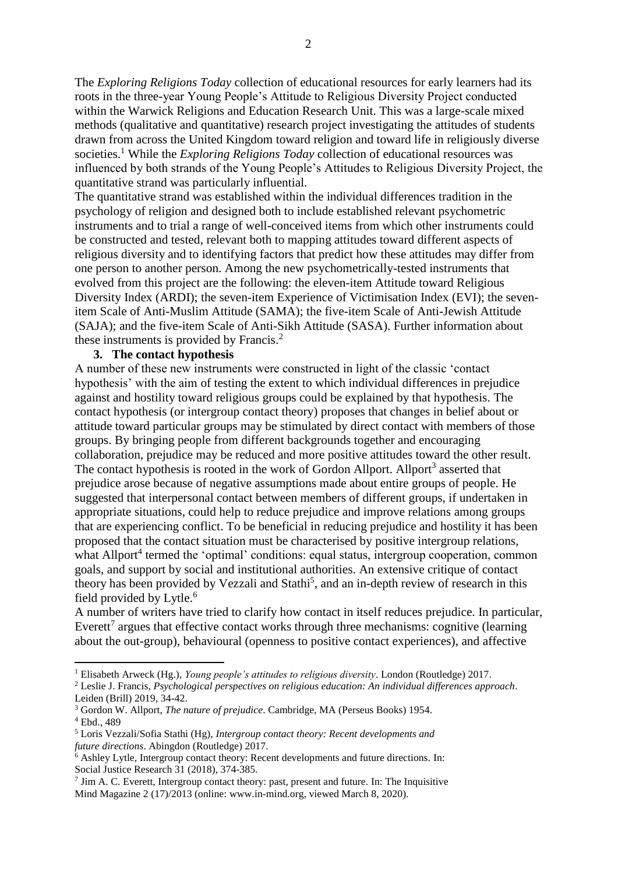The *Exploring Religions Today* collection of educational resources for early learners had its roots in the three-year Young People's Attitude to Religious Diversity Project conducted within the Warwick Religions and Education Research Unit. This was a large-scale mixed methods (qualitative and quantitative) research project investigating the attitudes of students drawn from across the United Kingdom toward religion and toward life in religiously diverse societies. <sup>1</sup> While the *Exploring Religions Today* collection of educational resources was influenced by both strands of the Young People's Attitudes to Religious Diversity Project, the quantitative strand was particularly influential.

The quantitative strand was established within the individual differences tradition in the psychology of religion and designed both to include established relevant psychometric instruments and to trial a range of well-conceived items from which other instruments could be constructed and tested, relevant both to mapping attitudes toward different aspects of religious diversity and to identifying factors that predict how these attitudes may differ from one person to another person. Among the new psychometrically-tested instruments that evolved from this project are the following: the eleven-item Attitude toward Religious Diversity Index (ARDI); the seven-item Experience of Victimisation Index (EVI); the sevenitem Scale of Anti-Muslim Attitude (SAMA); the five-item Scale of Anti-Jewish Attitude (SAJA); and the five-item Scale of Anti-Sikh Attitude (SASA). Further information about these instruments is provided by Francis.<sup>2</sup>

#### **3. The contact hypothesis**

A number of these new instruments were constructed in light of the classic 'contact hypothesis' with the aim of testing the extent to which individual differences in prejudice against and hostility toward religious groups could be explained by that hypothesis. The contact hypothesis (or intergroup contact theory) proposes that changes in belief about or attitude toward particular groups may be stimulated by direct contact with members of those groups. By bringing people from different backgrounds together and encouraging collaboration, prejudice may be reduced and more positive attitudes toward the other result. The contact hypothesis is rooted in the work of Gordon Allport. Allport<sup>3</sup> asserted that prejudice arose because of negative assumptions made about entire groups of people. He suggested that interpersonal contact between members of different groups, if undertaken in appropriate situations, could help to reduce prejudice and improve relations among groups that are experiencing conflict. To be beneficial in reducing prejudice and hostility it has been proposed that the contact situation must be characterised by positive intergroup relations, what Allport<sup>4</sup> termed the 'optimal' conditions: equal status, intergroup cooperation, common goals, and support by social and institutional authorities. An extensive critique of contact theory has been provided by Vezzali and Stathi<sup>5</sup>, and an in-depth review of research in this field provided by Lytle. 6

A number of writers have tried to clarify how contact in itself reduces prejudice. In particular, Everett<sup>7</sup> argues that effective contact works through three mechanisms: cognitive (learning about the out-group), behavioural (openness to positive contact experiences), and affective

<sup>2</sup> Leslie J. Francis, *Psychological perspectives on religious education: An individual differences approach*. Leiden (Brill) 2019, 34-42.

1

<sup>1</sup> Elisabeth Arweck (Hg.), *Young people's attitudes to religious diversity*. London (Routledge) 2017.

<sup>3</sup> Gordon W. Allport, *The nature of prejudice*. Cambridge, MA (Perseus Books) 1954.

<sup>4</sup> Ebd., 489

<sup>5</sup> Loris Vezzali/Sofia Stathi (Hg), *Intergroup contact theory: Recent developments and future directions*. Abingdon (Routledge) 2017.

 $\delta$  Ashley Lytle, Intergroup contact theory: Recent developments and future directions. In: Social Justice Research 31 (2018), 374-385.

 $<sup>7</sup>$  Jim A. C. Everett, Intergroup contact theory: past, present and future. In: The Inquisitive</sup> Mind Magazine 2 (17)/2013 (online: www.in-mind.org, viewed March 8, 2020).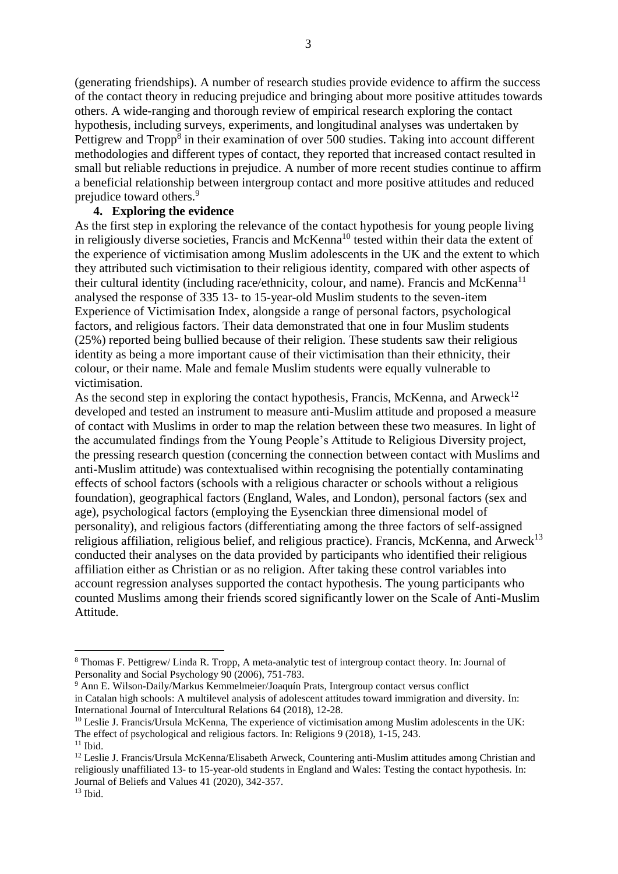(generating friendships). A number of research studies provide evidence to affirm the success of the contact theory in reducing prejudice and bringing about more positive attitudes towards others. A wide-ranging and thorough review of empirical research exploring the contact hypothesis, including surveys, experiments, and longitudinal analyses was undertaken by Pettigrew and Tropp<sup>8</sup> in their examination of over 500 studies. Taking into account different methodologies and different types of contact, they reported that increased contact resulted in small but reliable reductions in prejudice. A number of more recent studies continue to affirm a beneficial relationship between intergroup contact and more positive attitudes and reduced prejudice toward others. 9

#### **4. Exploring the evidence**

As the first step in exploring the relevance of the contact hypothesis for young people living in religiously diverse societies, Francis and McKenna<sup>10</sup> tested within their data the extent of the experience of victimisation among Muslim adolescents in the UK and the extent to which they attributed such victimisation to their religious identity, compared with other aspects of their cultural identity (including race/ethnicity, colour, and name). Francis and McKenna<sup>11</sup> analysed the response of 335 13- to 15-year-old Muslim students to the seven-item Experience of Victimisation Index, alongside a range of personal factors, psychological factors, and religious factors. Their data demonstrated that one in four Muslim students (25%) reported being bullied because of their religion. These students saw their religious identity as being a more important cause of their victimisation than their ethnicity, their colour, or their name. Male and female Muslim students were equally vulnerable to victimisation.

As the second step in exploring the contact hypothesis, Francis, McKenna, and Arweck<sup>12</sup> developed and tested an instrument to measure anti-Muslim attitude and proposed a measure of contact with Muslims in order to map the relation between these two measures. In light of the accumulated findings from the Young People's Attitude to Religious Diversity project, the pressing research question (concerning the connection between contact with Muslims and anti-Muslim attitude) was contextualised within recognising the potentially contaminating effects of school factors (schools with a religious character or schools without a religious foundation), geographical factors (England, Wales, and London), personal factors (sex and age), psychological factors (employing the Eysenckian three dimensional model of personality), and religious factors (differentiating among the three factors of self-assigned religious affiliation, religious belief, and religious practice). Francis, McKenna, and Arweck<sup>13</sup> conducted their analyses on the data provided by participants who identified their religious affiliation either as Christian or as no religion. After taking these control variables into account regression analyses supported the contact hypothesis. The young participants who counted Muslims among their friends scored significantly lower on the Scale of Anti-Muslim Attitude.

 $\overline{a}$ 

<sup>8</sup> Thomas F. Pettigrew/ Linda R. Tropp, A meta-analytic test of intergroup contact theory. In: Journal of Personality and Social Psychology 90 (2006), 751-783.

<sup>9</sup> Ann E. Wilson-Daily/Markus Kemmelmeier/Joaquín Prats, Intergroup contact versus conflict in Catalan high schools: A multilevel analysis of adolescent attitudes toward immigration and diversity. In: International Journal of Intercultural Relations 64 (2018), 12-28.

 $10$  Leslie J. Francis/Ursula McKenna, The experience of victimisation among Muslim adolescents in the UK: The effect of psychological and religious factors. In: Religions 9 (2018), 1-15, 243.  $11$  Ibid.

<sup>&</sup>lt;sup>12</sup> Leslie J. Francis/Ursula McKenna/Elisabeth Arweck, Countering anti-Muslim attitudes among Christian and religiously unaffiliated 13- to 15-year-old students in England and Wales: Testing the contact hypothesis. In: Journal of Beliefs and Values 41 (2020), 342-357.

 $13$  Ibid.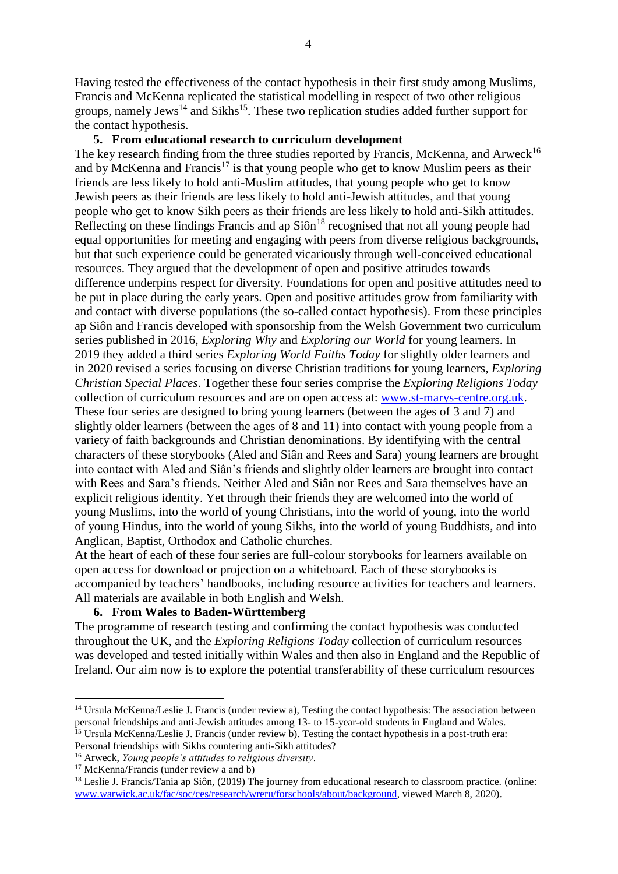Having tested the effectiveness of the contact hypothesis in their first study among Muslims, Francis and McKenna replicated the statistical modelling in respect of two other religious groups, namely Jews<sup>14</sup> and Sikhs<sup>15</sup>. These two replication studies added further support for the contact hypothesis.

#### **5. From educational research to curriculum development**

The key research finding from the three studies reported by Francis, McKenna, and Arweck<sup>16</sup> and by McKenna and Francis<sup>17</sup> is that young people who get to know Muslim peers as their friends are less likely to hold anti-Muslim attitudes, that young people who get to know Jewish peers as their friends are less likely to hold anti-Jewish attitudes, and that young people who get to know Sikh peers as their friends are less likely to hold anti-Sikh attitudes. Reflecting on these findings Francis and ap  $Si\hat{\omega}^{18}$  recognised that not all young people had equal opportunities for meeting and engaging with peers from diverse religious backgrounds, but that such experience could be generated vicariously through well-conceived educational resources. They argued that the development of open and positive attitudes towards difference underpins respect for diversity. Foundations for open and positive attitudes need to be put in place during the early years. Open and positive attitudes grow from familiarity with and contact with diverse populations (the so-called contact hypothesis). From these principles ap Siôn and Francis developed with sponsorship from the Welsh Government two curriculum series published in 2016, *Exploring Why* and *Exploring our World* for young learners. In 2019 they added a third series *Exploring World Faiths Today* for slightly older learners and in 2020 revised a series focusing on diverse Christian traditions for young learners, *Exploring Christian Special Places*. Together these four series comprise the *Exploring Religions Today* collection of curriculum resources and are on open access at: [www.st-marys-centre.org.uk.](http://www.st-marys-centre.org.uk/) These four series are designed to bring young learners (between the ages of 3 and 7) and slightly older learners (between the ages of 8 and 11) into contact with young people from a variety of faith backgrounds and Christian denominations. By identifying with the central characters of these storybooks (Aled and Siân and Rees and Sara) young learners are brought into contact with Aled and Siân's friends and slightly older learners are brought into contact with Rees and Sara's friends. Neither Aled and Siân nor Rees and Sara themselves have an explicit religious identity. Yet through their friends they are welcomed into the world of young Muslims, into the world of young Christians, into the world of young, into the world of young Hindus, into the world of young Sikhs, into the world of young Buddhists, and into Anglican, Baptist, Orthodox and Catholic churches.

At the heart of each of these four series are full-colour storybooks for learners available on open access for download or projection on a whiteboard. Each of these storybooks is accompanied by teachers' handbooks, including resource activities for teachers and learners. All materials are available in both English and Welsh.

#### **6. From Wales to Baden-Württemberg**

The programme of research testing and confirming the contact hypothesis was conducted throughout the UK, and the *Exploring Religions Today* collection of curriculum resources was developed and tested initially within Wales and then also in England and the Republic of Ireland. Our aim now is to explore the potential transferability of these curriculum resources

1

<sup>&</sup>lt;sup>14</sup> Ursula McKenna/Leslie J. Francis (under review a), Testing the contact hypothesis: The association between personal friendships and anti-Jewish attitudes among 13- to 15-year-old students in England and Wales. <sup>15</sup> Ursula McKenna/Leslie J. Francis (under review b). Testing the contact hypothesis in a post-truth era:

Personal friendships with Sikhs countering anti-Sikh attitudes?

<sup>16</sup> Arweck, *Young people's attitudes to religious diversity*.

<sup>&</sup>lt;sup>17</sup> McKenna/Francis (under review a and b)

<sup>&</sup>lt;sup>18</sup> Leslie J. Francis/Tania ap Siôn, (2019) The journey from educational research to classroom practice. (online: [www.warwick.ac.uk/fac/soc/ces/research/wreru/forschools/about/background,](http://www.warwick.ac.uk/fac/soc/ces/research/wreru/forschools/about/background) viewed March 8, 2020).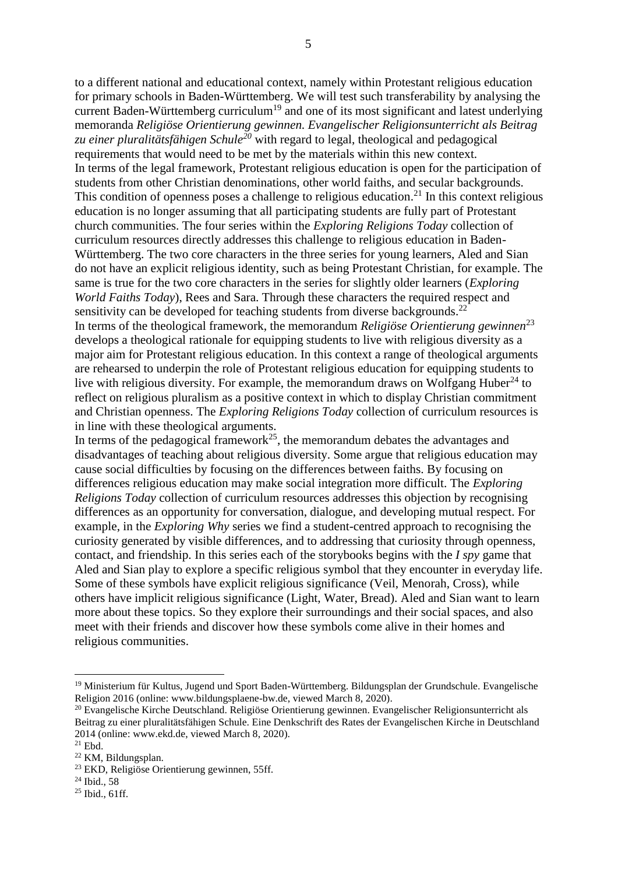to a different national and educational context, namely within Protestant religious education for primary schools in Baden-Württemberg. We will test such transferability by analysing the current Baden-Württemberg curriculum<sup>19</sup> and one of its most significant and latest underlying memoranda *Religiöse Orientierung gewinnen. Evangelischer Religionsunterricht als Beitrag zu einer pluralitätsfähigen Schule<sup>20</sup>* with regard to legal, theological and pedagogical requirements that would need to be met by the materials within this new context. In terms of the legal framework, Protestant religious education is open for the participation of students from other Christian denominations, other world faiths, and secular backgrounds. This condition of openness poses a challenge to religious education.<sup>21</sup> In this context religious education is no longer assuming that all participating students are fully part of Protestant church communities. The four series within the *Exploring Religions Today* collection of curriculum resources directly addresses this challenge to religious education in Baden-Württemberg. The two core characters in the three series for young learners, Aled and Sian do not have an explicit religious identity, such as being Protestant Christian, for example. The same is true for the two core characters in the series for slightly older learners (*Exploring World Faiths Today*), Rees and Sara. Through these characters the required respect and sensitivity can be developed for teaching students from diverse backgrounds.<sup>22</sup> In terms of the theological framework, the memorandum *Religiöse Orientierung gewinnen*<sup>23</sup> develops a theological rationale for equipping students to live with religious diversity as a major aim for Protestant religious education. In this context a range of theological arguments are rehearsed to underpin the role of Protestant religious education for equipping students to live with religious diversity. For example, the memorandum draws on Wolfgang Huber<sup>24</sup> to reflect on religious pluralism as a positive context in which to display Christian commitment and Christian openness. The *Exploring Religions Today* collection of curriculum resources is in line with these theological arguments.

In terms of the pedagogical framework<sup>25</sup>, the memorandum debates the advantages and disadvantages of teaching about religious diversity. Some argue that religious education may cause social difficulties by focusing on the differences between faiths. By focusing on differences religious education may make social integration more difficult. The *Exploring Religions Today* collection of curriculum resources addresses this objection by recognising differences as an opportunity for conversation, dialogue, and developing mutual respect. For example, in the *Exploring Why* series we find a student-centred approach to recognising the curiosity generated by visible differences, and to addressing that curiosity through openness, contact, and friendship. In this series each of the storybooks begins with the *I spy* game that Aled and Sian play to explore a specific religious symbol that they encounter in everyday life. Some of these symbols have explicit religious significance (Veil, Menorah, Cross), while others have implicit religious significance (Light, Water, Bread). Aled and Sian want to learn more about these topics. So they explore their surroundings and their social spaces, and also meet with their friends and discover how these symbols come alive in their homes and religious communities.

**.** 

<sup>19</sup> Ministerium für Kultus, Jugend und Sport Baden-Württemberg. Bildungsplan der Grundschule. Evangelische Religion 2016 (online: www.bildungsplaene-bw.de, viewed March 8, 2020).

<sup>&</sup>lt;sup>20</sup> Evangelische Kirche Deutschland. Religiöse Orientierung gewinnen. Evangelischer Religionsunterricht als Beitrag zu einer pluralitätsfähigen Schule. Eine Denkschrift des Rates der Evangelischen Kirche in Deutschland 2014 (online: www.ekd.de, viewed March 8, 2020).

 $^{21}$  Ebd.

<sup>22</sup> KM, Bildungsplan.

<sup>23</sup> EKD, Religiöse Orientierung gewinnen, 55ff.

<sup>&</sup>lt;sup>24</sup> Ibid., 58

 $25$  Ibid., 61ff.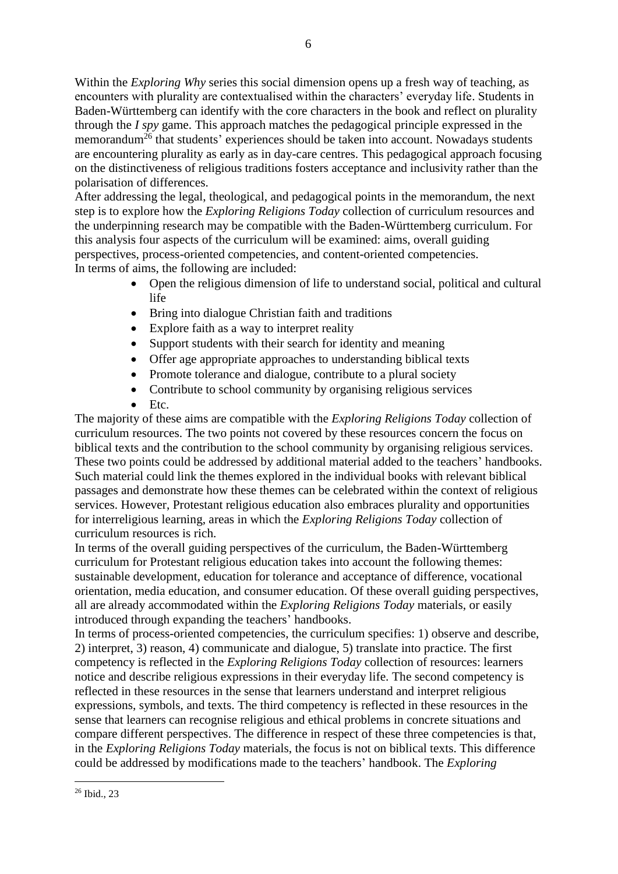Within the *Exploring Why* series this social dimension opens up a fresh way of teaching, as encounters with plurality are contextualised within the characters' everyday life. Students in Baden-Württemberg can identify with the core characters in the book and reflect on plurality through the *I spy* game. This approach matches the pedagogical principle expressed in the memorandum<sup>26</sup> that students' experiences should be taken into account. Nowadays students are encountering plurality as early as in day-care centres. This pedagogical approach focusing on the distinctiveness of religious traditions fosters acceptance and inclusivity rather than the polarisation of differences.

After addressing the legal, theological, and pedagogical points in the memorandum, the next step is to explore how the *Exploring Religions Today* collection of curriculum resources and the underpinning research may be compatible with the Baden-Württemberg curriculum. For this analysis four aspects of the curriculum will be examined: aims, overall guiding perspectives, process-oriented competencies, and content-oriented competencies. In terms of aims, the following are included:

- Open the religious dimension of life to understand social, political and cultural life
- Bring into dialogue Christian faith and traditions
- Explore faith as a way to interpret reality
- Support students with their search for identity and meaning
- Offer age appropriate approaches to understanding biblical texts
- Promote tolerance and dialogue, contribute to a plural society
- Contribute to school community by organising religious services
- Etc.

The majority of these aims are compatible with the *Exploring Religions Today* collection of curriculum resources. The two points not covered by these resources concern the focus on biblical texts and the contribution to the school community by organising religious services. These two points could be addressed by additional material added to the teachers' handbooks. Such material could link the themes explored in the individual books with relevant biblical passages and demonstrate how these themes can be celebrated within the context of religious services. However, Protestant religious education also embraces plurality and opportunities for interreligious learning, areas in which the *Exploring Religions Today* collection of curriculum resources is rich.

In terms of the overall guiding perspectives of the curriculum, the Baden-Württemberg curriculum for Protestant religious education takes into account the following themes: sustainable development, education for tolerance and acceptance of difference, vocational orientation, media education, and consumer education. Of these overall guiding perspectives, all are already accommodated within the *Exploring Religions Today* materials, or easily introduced through expanding the teachers' handbooks.

In terms of process-oriented competencies, the curriculum specifies: 1) observe and describe, 2) interpret, 3) reason, 4) communicate and dialogue, 5) translate into practice. The first competency is reflected in the *Exploring Religions Today* collection of resources: learners notice and describe religious expressions in their everyday life. The second competency is reflected in these resources in the sense that learners understand and interpret religious expressions, symbols, and texts. The third competency is reflected in these resources in the sense that learners can recognise religious and ethical problems in concrete situations and compare different perspectives. The difference in respect of these three competencies is that, in the *Exploring Religions Today* materials, the focus is not on biblical texts. This difference could be addressed by modifications made to the teachers' handbook. The *Exploring* 

**<sup>.</sup>** <sup>26</sup> Ibid., 23